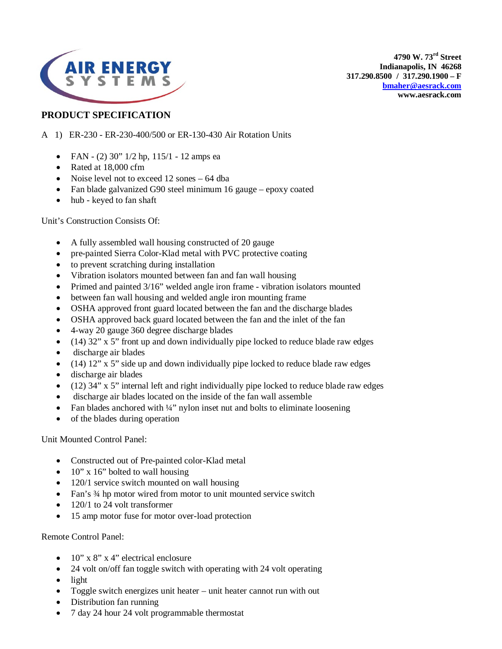

**4790 W. 73rd Street Indianapolis, IN 46268 317.290.8500 / 317.290.1900 – F [bmaher@aesrack.com](mailto:bmaher@aesrack.com) www.aesrack.com**

## **PRODUCT SPECIFICATION**

- A 1) ER-230 ER-230-400/500 or ER-130-430 Air Rotation Units
	- FAN (2)  $30"$  1/2 hp,  $115/1$  12 amps ea
	- Rated at 18,000 cfm
	- Noise level not to exceed 12 sones 64 dba
	- Fan blade galvanized G90 steel minimum 16 gauge epoxy coated
	- hub keyed to fan shaft

Unit's Construction Consists Of:

- A fully assembled wall housing constructed of 20 gauge
- pre-painted Sierra Color-Klad metal with PVC protective coating
- to prevent scratching during installation
- Vibration isolators mounted between fan and fan wall housing
- Primed and painted 3/16" welded angle iron frame vibration isolators mounted
- between fan wall housing and welded angle iron mounting frame
- OSHA approved front guard located between the fan and the discharge blades
- OSHA approved back guard located between the fan and the inlet of the fan
- 4-way 20 gauge 360 degree discharge blades
- $\bullet$  (14) 32" x 5" front up and down individually pipe locked to reduce blade raw edges
- discharge air blades
- (14) 12" x 5" side up and down individually pipe locked to reduce blade raw edges
- discharge air blades
- (12)  $34$ " x 5" internal left and right individually pipe locked to reduce blade raw edges
- discharge air blades located on the inside of the fan wall assemble
- Fan blades anchored with  $\frac{1}{4}$ " nylon inset nut and bolts to eliminate loosening
- of the blades during operation

Unit Mounted Control Panel:

- Constructed out of Pre-painted color-Klad metal
- $10''$  x 16" bolted to wall housing
- 120/1 service switch mounted on wall housing
- Fan's 3/4 hp motor wired from motor to unit mounted service switch
- 120/1 to 24 volt transformer
- 15 amp motor fuse for motor over-load protection

Remote Control Panel:

- $10''$  x 8" x 4" electrical enclosure
- 24 volt on/off fan toggle switch with operating with 24 volt operating
- light
- Toggle switch energizes unit heater unit heater cannot run with out
- Distribution fan running
- 7 day 24 hour 24 volt programmable thermostat